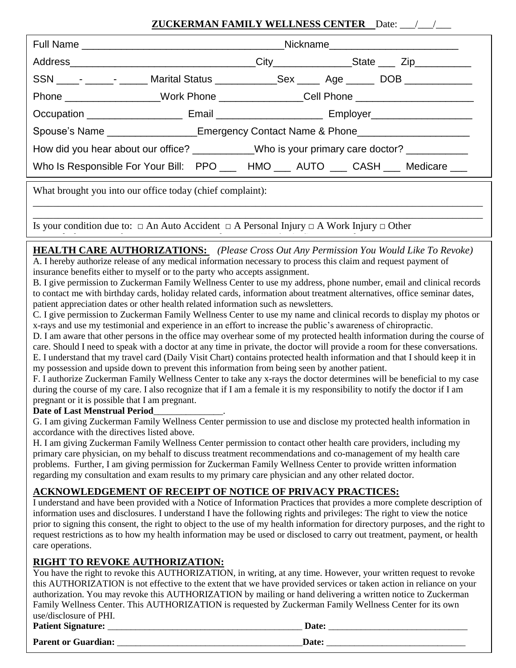### **ZUCKERMAN FAMILY WELLNESS CENTER** Date: <u>\_\_\_/\_\_\_/</u>

|                                                                                        | Nickname___________________________ |  |                                                                                                |  |  |
|----------------------------------------------------------------------------------------|-------------------------------------|--|------------------------------------------------------------------------------------------------|--|--|
|                                                                                        |                                     |  |                                                                                                |  |  |
|                                                                                        |                                     |  | SSN _____- ______- ______ Marital Status _____________Sex ______ Age _______ DOB _____________ |  |  |
|                                                                                        |                                     |  | Phone __________________Work Phone _______________Cell Phone ___________________               |  |  |
|                                                                                        |                                     |  |                                                                                                |  |  |
| Spouse's Name __________________Emergency Contact Name & Phone__________________       |                                     |  |                                                                                                |  |  |
| How did you hear about our office? _________Who is your primary care doctor? _________ |                                     |  |                                                                                                |  |  |
| Who Is Responsible For Your Bill: PPO ___ HMO ___ AUTO ___ CASH ___ Medicare ___       |                                     |  |                                                                                                |  |  |

What brought you into our office today (chief complaint):

Is your condition due to:  $\Box$  An Auto Accident  $\Box$  A Personal Injury  $\Box$  A Work Injury  $\Box$  Other

Type of Claim: □ Cash □ Personal Insurance □ Personal Insurance □ Medicare □ Worker's Comp □ Medicare □ Medica<br>-<br>-

**HEALTH CARE AUTHORIZATIONS:** *(Please Cross Out Any Permission You Would Like To Revoke)* A. I hereby authorize release of any medical information necessary to process this claim and request payment of insurance benefits either to myself or to the party who accepts assignment.

\_\_\_\_\_\_\_\_\_\_\_\_\_\_\_\_\_\_\_\_\_\_\_\_\_\_\_\_\_\_\_\_\_\_\_\_\_\_\_\_\_\_\_\_\_\_\_\_\_\_\_\_\_\_\_\_\_\_\_\_\_\_\_\_\_\_\_\_\_\_\_\_\_\_\_\_\_\_\_\_\_\_\_\_\_\_\_\_\_ \_\_\_\_\_\_\_\_\_\_\_\_\_\_\_\_\_\_\_\_\_\_\_\_\_\_\_\_\_\_\_\_\_\_\_\_\_\_\_\_\_\_\_\_\_\_\_\_\_\_\_\_\_\_\_\_\_\_\_\_\_\_\_\_\_\_\_\_\_\_\_\_\_\_\_\_\_\_\_\_\_\_\_\_\_\_\_\_\_

B. I give permission to Zuckerman Family Wellness Center to use my address, phone number, email and clinical records to contact me with birthday cards, holiday related cards, information about treatment alternatives, office seminar dates, patient appreciation dates or other health related information such as newsletters.

C. I give permission to Zuckerman Family Wellness Center to use my name and clinical records to display my photos or x-rays and use my testimonial and experience in an effort to increase the public's awareness of chiropractic.

D. I am aware that other persons in the office may overhear some of my protected health information during the course of care. Should I need to speak with a doctor at any time in private, the doctor will provide a room for these conversations. E. I understand that my travel card (Daily Visit Chart) contains protected health information and that I should keep it in my possession and upside down to prevent this information from being seen by another patient.

F. I authorize Zuckerman Family Wellness Center to take any x-rays the doctor determines will be beneficial to my case during the course of my care. I also recognize that if I am a female it is my responsibility to notify the doctor if I am pregnant or it is possible that I am pregnant.

#### **Date of Last Menstrual Period**\_\_\_\_\_\_\_\_\_\_\_\_\_\_\_.

G. I am giving Zuckerman Family Wellness Center permission to use and disclose my protected health information in accordance with the directives listed above.

H. I am giving Zuckerman Family Wellness Center permission to contact other health care providers, including my primary care physician, on my behalf to discuss treatment recommendations and co-management of my health care problems. Further, I am giving permission for Zuckerman Family Wellness Center to provide written information regarding my consultation and exam results to my primary care physician and any other related doctor.

### **ACKNOWLEDGEMENT OF RECEIPT OF NOTICE OF PRIVACY PRACTICES:**

I understand and have been provided with a Notice of Information Practices that provides a more complete description of information uses and disclosures. I understand I have the following rights and privileges: The right to view the notice prior to signing this consent, the right to object to the use of my health information for directory purposes, and the right to request restrictions as to how my health information may be used or disclosed to carry out treatment, payment, or health care operations.

### **RIGHT TO REVOKE AUTHORIZATION:**

| <b>Patient Signature:</b> | Date:                                                                                                                |
|---------------------------|----------------------------------------------------------------------------------------------------------------------|
| use/disclosure of PHI.    |                                                                                                                      |
|                           | Family Wellness Center. This AUTHORIZATION is requested by Zuckerman Family Wellness Center for its own              |
|                           | authorization. You may revoke this AUTHORIZATION by mailing or hand delivering a written notice to Zuckerman         |
|                           | this AUTHORIZATION is not effective to the extent that we have provided services or taken action in reliance on your |
|                           | You have the right to revoke this AUTHORIZATION, in writing, at any time. However, your written request to revoke    |

**Parent or Guardian:** <u>and the set of the set of the set of the set of the set of the set of the set of the set of the set of the set of the set of the set of the set of the set of the set of the set of the set of the set </u>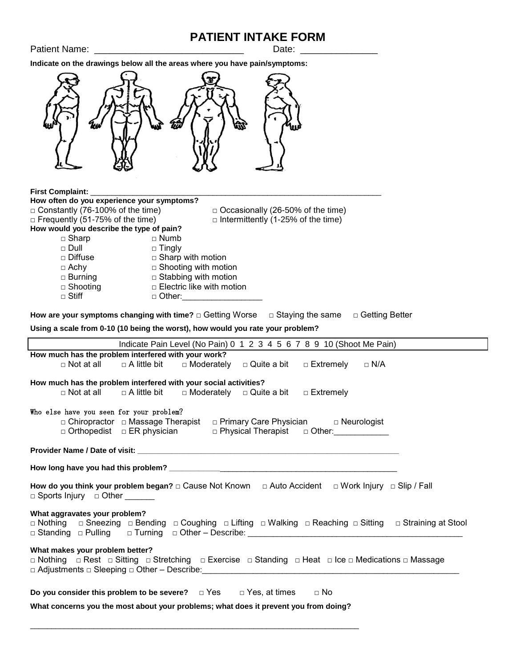## **PATIENT INTAKE FORM**

Patient Name: \_\_\_\_\_\_\_\_\_\_\_\_\_\_\_\_\_\_\_\_\_\_\_\_\_\_\_\_\_ Date: \_\_\_\_\_\_\_\_\_\_\_\_\_\_\_

**Indicate on the drawings below all the areas where you have pain/symptoms:**



#### **First Complaint:**

| How often do you experience your symptoms? |                                           |
|--------------------------------------------|-------------------------------------------|
| $\Box$ Constantly (76-100% of the time)    | □ Occasionally (26-50% of the time)       |
| $\Box$ Frequently (51-75% of the time)     | $\Box$ Intermittently (1-25% of the time) |
| How would you describe the type of pain?   |                                           |
| $\Box$ Sharp                               | $\Box$ Numb                               |
| $\sqcap$ Dull                              | $\Box$ Tingly                             |
| $\Box$ Diffuse                             | $\Box$ Sharp with motion                  |
| $\Box$ Achy                                | $\Box$ Shooting with motion               |
| $\Box$ Burning                             | $\Box$ Stabbing with motion               |
| $\Box$ Shooting                            | $\Box$ Electric like with motion          |
| $\Box$ Stiff                               | □ Other:                                  |
|                                            |                                           |

How are your symptoms changing with time? □ Getting Worse □ Staying the same □ Getting Better

**Using a scale from 0-10 (10 being the worst), how would you rate your problem?**

\_\_\_\_\_\_\_\_\_\_\_\_\_\_\_\_\_\_\_\_\_\_\_\_\_\_\_\_\_\_\_\_\_\_\_\_\_\_\_\_\_\_\_\_\_\_\_\_\_\_\_\_\_\_\_\_\_\_\_\_\_\_\_\_\_\_\_\_\_\_\_\_\_\_\_\_\_\_

|                                                                                                                                                                              | Indicate Pain Level (No Pain) 0 1 2 3 4 5 6 7 8 9 10 (Shoot Me Pain)                                    |  |  |  |  |
|------------------------------------------------------------------------------------------------------------------------------------------------------------------------------|---------------------------------------------------------------------------------------------------------|--|--|--|--|
|                                                                                                                                                                              | How much has the problem interfered with your work?                                                     |  |  |  |  |
|                                                                                                                                                                              | $\Box$ Not at all $\Box$ A little bit $\Box$ Moderately $\Box$ Quite a bit $\Box$ Extremely $\Box$ N/A  |  |  |  |  |
|                                                                                                                                                                              | How much has the problem interfered with your social activities?                                        |  |  |  |  |
|                                                                                                                                                                              | $\Box$ Not at all $\Box$ A little bit $\Box$ Moderately $\Box$ Quite a bit $\Box$ Extremely             |  |  |  |  |
| Who else have you seen for your problem?                                                                                                                                     |                                                                                                         |  |  |  |  |
|                                                                                                                                                                              | □ Chiropractor □ Massage Therapist □ Primary Care Physician □ Neurologist                               |  |  |  |  |
|                                                                                                                                                                              | □ Othopedist □ ER physician □ □ Physical Therapist □ Other: □                                           |  |  |  |  |
|                                                                                                                                                                              |                                                                                                         |  |  |  |  |
|                                                                                                                                                                              |                                                                                                         |  |  |  |  |
|                                                                                                                                                                              |                                                                                                         |  |  |  |  |
| How do you think your problem began? $\Box$ Cause Not Known $\Box$ Auto Accident $\Box$ Work Injury $\Box$ Slip / Fall<br>$\Box$ Sports Injury $\Box$ Other ________         |                                                                                                         |  |  |  |  |
| What aggravates your problem?                                                                                                                                                |                                                                                                         |  |  |  |  |
|                                                                                                                                                                              | □ Nothing □ Sneezing □ Bending □ Coughing □ Lifting □ Walking □ Reaching □ Sitting □ Straining at Stool |  |  |  |  |
|                                                                                                                                                                              |                                                                                                         |  |  |  |  |
| What makes your problem better?<br>□ Nothing □ Rest □ Sitting □ Stretching □ Exercise □ Standing □ Heat □ Ice □ Medications □ Massage                                        |                                                                                                         |  |  |  |  |
| Do you consider this problem to be severe? $\Box$ Yes $\Box$ Yes, at times $\Box$ No<br>What concerns you the most about your problems; what does it prevent you from doing? |                                                                                                         |  |  |  |  |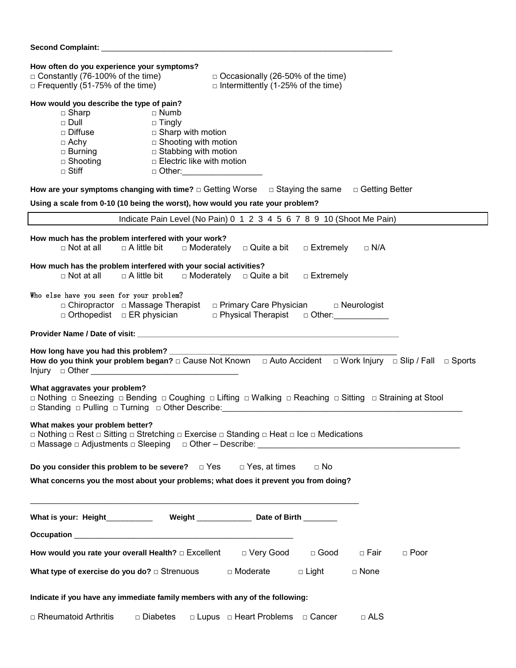### **Second Complaint:** \_\_\_\_\_\_\_\_\_\_\_\_\_\_\_\_\_\_\_\_\_\_\_\_\_\_\_\_\_\_\_\_\_\_\_\_\_\_\_\_\_\_\_\_\_\_\_\_\_\_\_\_\_\_\_\_\_\_\_\_\_\_\_\_\_\_\_\_\_

| How often do you experience your symptoms?<br>$\Box$ Constantly (76-100% of the time)<br>$\Box$ Occasionally (26-50% of the time)<br>$\Box$ Frequently (51-75% of the time)<br>$\Box$ Intermittently (1-25% of the time)                                                                                                                                |  |  |  |  |  |
|---------------------------------------------------------------------------------------------------------------------------------------------------------------------------------------------------------------------------------------------------------------------------------------------------------------------------------------------------------|--|--|--|--|--|
| How would you describe the type of pain?<br>$\Box$ Sharp<br>$\sqcap$ Numb<br>$\Box$ Dull<br>$\Box$ Tingly<br>$\square$ Diffuse<br>$\Box$ Sharp with motion<br>$\Box$ Shooting with motion<br>$\Box$ Achy<br>□ Stabbing with motion<br>$\Box$ Burning<br>$\Box$ Electric like with motion<br>□ Shooting<br>$\Box$ Stiff<br>□ Other:_____________________ |  |  |  |  |  |
| How are your symptoms changing with time? $\Box$ Getting Worse $\Box$ Staying the same $\Box$ Getting Better<br>Using a scale from 0-10 (10 being the worst), how would you rate your problem?                                                                                                                                                          |  |  |  |  |  |
| Indicate Pain Level (No Pain) 0 1 2 3 4 5 6 7 8 9 10 (Shoot Me Pain)                                                                                                                                                                                                                                                                                    |  |  |  |  |  |
| How much has the problem interfered with your work?<br>$\Box$ Not at all<br>$\Box$ A little bit<br>$\Box$ Moderately $\Box$ Quite a bit<br>□ Extremely<br>$\Box$ N/A                                                                                                                                                                                    |  |  |  |  |  |
| How much has the problem interfered with your social activities?<br>$\Box$ Moderately $\Box$ Quite a bit $\Box$ Extremely<br>$\Box$ Not at all<br>$\Box$ A little bit                                                                                                                                                                                   |  |  |  |  |  |
| Who else have you seen for your problem?<br>□ Chiropractor □ Massage Therapist □ Primary Care Physician □ Neurologist<br>$\Box$ Orthopedist $\Box$ ER physician                                                                                                                                                                                         |  |  |  |  |  |
|                                                                                                                                                                                                                                                                                                                                                         |  |  |  |  |  |
| How long have you had this problem? ___________<br>How do you think your problem began? $\Box$ Cause Not Known $\Box$ Auto Accident $\Box$ Work Injury $\Box$ Slip / Fall<br>$\Box$ Sports                                                                                                                                                              |  |  |  |  |  |
| What aggravates your problem?<br>□ Nothing □ Sneezing □ Bending □ Coughing □ Lifting □ Walking □ Reaching □ Sitting □ Straining at Stool                                                                                                                                                                                                                |  |  |  |  |  |
| What makes your problem better?<br>□ Nothing □ Rest □ Sitting □ Stretching □ Exercise □ Standing □ Heat □ Ice □ Medications                                                                                                                                                                                                                             |  |  |  |  |  |
| $\Box$ No                                                                                                                                                                                                                                                                                                                                               |  |  |  |  |  |
| Do you consider this problem to be severe? $\Box$ Yes $\Box$ Yes, at times<br>What concerns you the most about your problems; what does it prevent you from doing?                                                                                                                                                                                      |  |  |  |  |  |
| What is your: Height_____________ Weight _______________ Date of Birth ________                                                                                                                                                                                                                                                                         |  |  |  |  |  |
|                                                                                                                                                                                                                                                                                                                                                         |  |  |  |  |  |
| □ Very Good<br>$\Box$ Good<br>How would you rate your overall Health? □ Excellent<br>$\Box$ Fair<br>$\Box$ Poor                                                                                                                                                                                                                                         |  |  |  |  |  |
| What type of exercise do you do? $\Box$ Strenuous<br>□ Moderate<br>□ Light<br>$\Box$ None                                                                                                                                                                                                                                                               |  |  |  |  |  |
| Indicate if you have any immediate family members with any of the following:                                                                                                                                                                                                                                                                            |  |  |  |  |  |
| □ Rheumatoid Arthritis<br>□ Diabetes<br>□ Lupus □ Heart Problems □ Cancer<br>$\Box$ ALS                                                                                                                                                                                                                                                                 |  |  |  |  |  |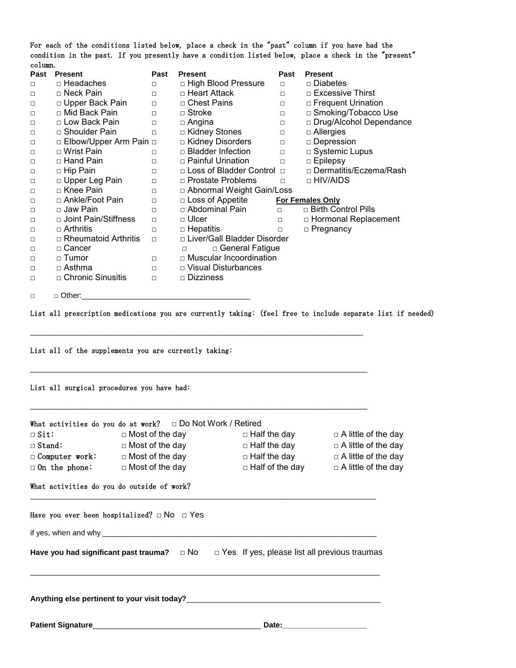For each of the conditions listed below, place a check in the "past" column if you have had the condition in the past. If you presently have a condition listed below, place a check in the "present" column.

| □ Diabetes                |
|---------------------------|
| □ Excessive Thirst        |
| $\Box$ Frequent Urination |
| □ Smoking/Tobacco Use     |
| □ Drug/Alcohol Dependance |
| $\Box$ Allergies          |
| □ Depression              |
| $\Box$ Systemic Lupus     |
| $\Box$ Epilepsy           |
| □ Dermatitis/Eczema/Rash  |
| □ HIV/AIDS                |
|                           |
| <b>For Females Only</b>   |
| □ Birth Control Pills     |
| □ Hormonal Replacement    |
| □ Pregnancy               |
|                           |
|                           |
|                           |
|                           |
|                           |
|                           |
|                           |

List all prescription medications you are currently taking: (feel free to include separate list if needed)

 $\mathcal{L}_\mathcal{L} = \{ \mathcal{L}_\mathcal{L} = \{ \mathcal{L}_\mathcal{L} = \{ \mathcal{L}_\mathcal{L} = \{ \mathcal{L}_\mathcal{L} = \{ \mathcal{L}_\mathcal{L} = \{ \mathcal{L}_\mathcal{L} = \{ \mathcal{L}_\mathcal{L} = \{ \mathcal{L}_\mathcal{L} = \{ \mathcal{L}_\mathcal{L} = \{ \mathcal{L}_\mathcal{L} = \{ \mathcal{L}_\mathcal{L} = \{ \mathcal{L}_\mathcal{L} = \{ \mathcal{L}_\mathcal{L} = \{ \mathcal{L}_\mathcal{$ 

\_\_\_\_\_\_\_\_\_\_\_\_\_\_\_\_\_\_\_\_\_\_\_\_\_\_\_\_\_\_\_\_\_\_\_\_\_\_\_\_\_\_\_\_\_\_\_\_\_\_\_\_\_\_\_\_\_\_\_\_\_\_\_\_\_\_\_\_\_\_\_\_\_\_\_\_\_\_\_\_

List all of the supplements you are currently taking:

List all surgical procedures you have had:

|                          | What activities do you do at work? $\Box$ Do Not Work / Retired                                                                                                                                                                  |       |                            |
|--------------------------|----------------------------------------------------------------------------------------------------------------------------------------------------------------------------------------------------------------------------------|-------|----------------------------|
|                          | $\Box$ Sit: $\Box$ Most of the day $\Box$ Half the day                                                                                                                                                                           |       | $\Box$ A little of the day |
|                          | □ Stand: □ Nost of the day □ Half the day □ A little of the day                                                                                                                                                                  |       |                            |
|                          | □ Computer work: □ Most of the day □ Half the day □ A little of the day                                                                                                                                                          |       |                            |
|                          | $\Box$ On the phone: $\Box$ Most of the day $\Box$ Half of the day $\Box$ A little of the day                                                                                                                                    |       |                            |
|                          | What activities do you do outside of work?                                                                                                                                                                                       |       |                            |
|                          | Have you ever been hospitalized? $\Box$ NO $\Box$ Yes                                                                                                                                                                            |       |                            |
|                          |                                                                                                                                                                                                                                  |       |                            |
|                          | Have you had significant past trauma? $\Box$ No $\Box$ Yes If yes, please list all previous traumas                                                                                                                              |       |                            |
|                          | Anything else pertinent to your visit today?<br>The manufacturer of the contract of the contract of the contract of the contract of the contract of the contract of the contract of the contract of the contract of the contract |       |                            |
| <b>Patient Signature</b> |                                                                                                                                                                                                                                  | Date: |                            |